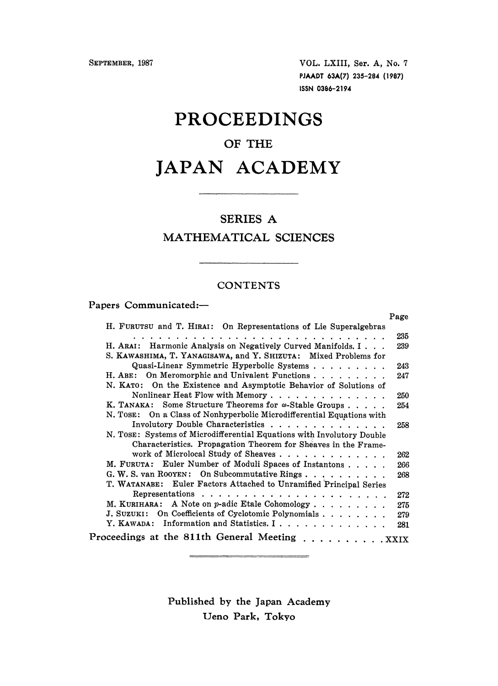SEPTEMBER, 1987 VOL. LXIII, Ser. A, No. 7 PJAADT 63A(7) 235-284 (1987) ISSN 0386-2194

## PROCEEDINGS

### OF THE

# JAPAN ACADEMY

#### SERIES A

### MATHEMATICAL SCIENCES

#### **CONTENTS**

 $\sim$   $\sim$   $\sim$   $\sim$   $\sim$ 

Papers Communicated:-

|                                                                        | Page |
|------------------------------------------------------------------------|------|
| H. FURUTSU and T. HIRAI: On Representations of Lie Superalgebras       |      |
|                                                                        | 235  |
| H. ARAI: Harmonic Analysis on Negatively Curved Manifolds. I           | 239  |
| S. KAWASHIMA, T. YANAGISAWA, and Y. SHIZUTA: Mixed Problems for        |      |
| Quasi-Linear Symmetric Hyperbolic Systems                              | 243  |
| H. ABE: On Meromorphic and Univalent Functions                         | 247  |
| N. KATO: On the Existence and Asymptotic Behavior of Solutions of      |      |
| Nonlinear Heat Flow with Memory                                        | 250  |
| K. TANAKA: Some Structure Theorems for $\omega$ -Stable Groups         | 254  |
| N. TOSE: On a Class of Nonhyperbolic Microdifferential Equations with  |      |
| Involutory Double Characteristics                                      | 258  |
| N. TOSE: Systems of Microdifferential Equations with Involutory Double |      |
| Characteristics. Propagation Theorem for Sheaves in the Frame-         |      |
| work of Microlocal Study of Sheaves                                    | 262  |
| M. FURUTA: Euler Number of Moduli Spaces of Instantons                 | 266  |
| G. W. S. van ROOYEN: On Subcommutative Rings                           | 268  |
| T. WATANABE: Euler Factors Attached to Unramified Principal Series     |      |
|                                                                        | 272  |
| M. KURIHARA: A Note on p-adic Etale Cohomology                         | 275  |
| J. SUZUKI: On Coefficients of Cyclotomic Polynomials                   | 279  |
| Y. KAWADA: Information and Statistics. I                               | 281  |
| Proceedings at the 811th General Meeting XXIX                          |      |

Published by the Japan Academy Ueno Park, Tokyo